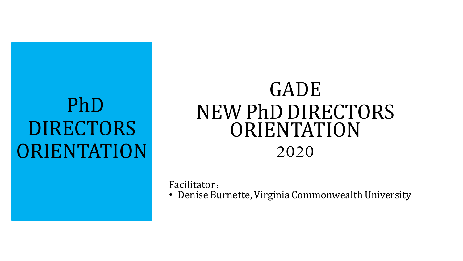## PhD DIRECTORS **ORIENTATION**

### GADE NEW PhD DIRECTORS ORIENTATION 2020

Facilitator:

• Denise Burnette, Virginia Commonwealth University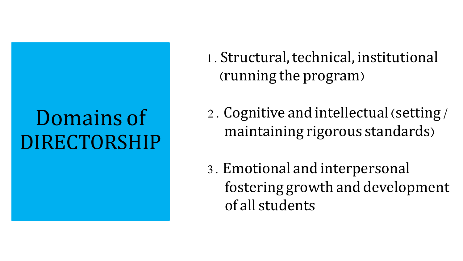## Domains of DIRECTORSHIP

- 1. Structural, technical, institutional (running the program)
- 2. Cognitive and intellectual (setting/ maintaining rigorous standards)
- 3. Emotional and interpersonal fostering growth and development of all students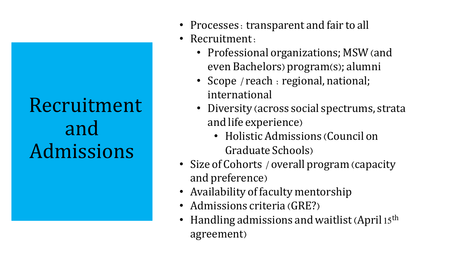## Recruitment and Admissions

- Processes: transparent and fair to all
- Recruitment:
	- Professional organizations; MSW (and even Bachelors) program(s); alumni
	- Scope / reach : regional, national; international
	- Diversity (across social spectrums, strata and life experience)
		- Holistic Admissions (Council on Graduate Schools)
- Size of Cohorts / overall program (capacity and preference)
- Availability of faculty mentorship
- Admissions criteria (GRE?)
- Handling admissions and waitlist (April 15<sup>th</sup>) agreement)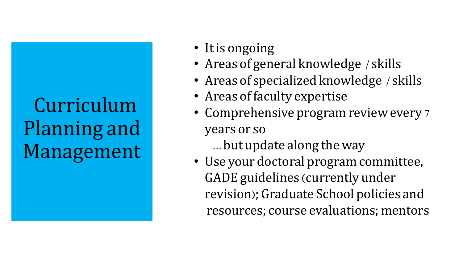## Curriculum Planning and Management

- It is ongoing
- Areas of general knowledge / skills
- Areas of specialized knowledge / skills
- Areas of faculty expertise
- Comprehensive program review every 7 years or so

…but update along the way

• Use your doctoral program committee, GADE guidelines (currently under revision); Graduate School policies and resources; course evaluations; mentors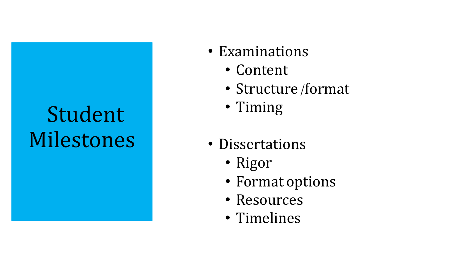# Student Milestones

- Examinations
	- Content
	- Structure/format
	- Timing
- Dissertations
	- Rigor
	- Format options
	- Resources
	- Timelines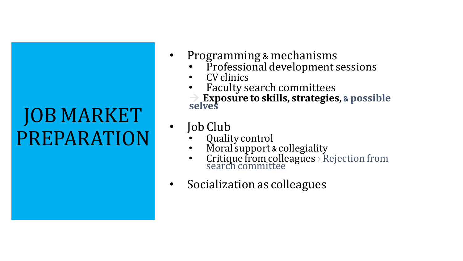## JOB MARKET PREPARATION

- Programming & mechanisms
	- Professional development sessions
	- CV clinics
	- Faculty search committees

<sup>à</sup> **Exposure to skills, strategies,** & **possible selves**

- Job Club
	- Quality control
	- Moral support & collegiality
	- Critique from colleagues >  $Rejection from  
	search committee$
- Socialization as colleagues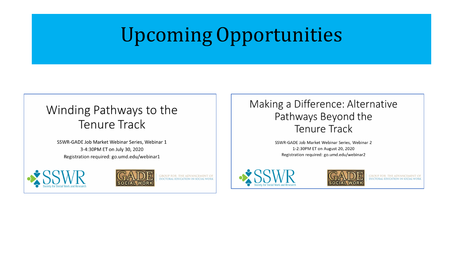## UpcomingOpportunities

### Winding Pathways to the **Tenure Track**

SSWR-GADE Job Market Webinar Series, Webinar 1 3-4:30PM ET on July 30, 2020 Registration required: go.umd.edu/webinar1





GROUP FOR THE ADVANCEMENT OF<br>DOCTORAL EDUCATION IN SOCIAL WORK

#### Making a Difference: Alternative Pathways Beyond the **Tenure Track**

SSWR-GADE Job Market Webinar Series, Webinar 2 1-2:30PM ET on August 20, 2020 Registration required: go.umd.edu/webinar2





**GROUP FOR THE ADVANCEMENT OF** DOCTORAL EDUCATION IN SOCIAL WORK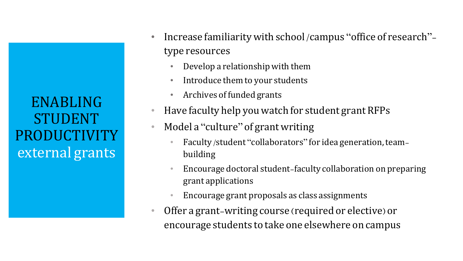ENABLING STUDENT PRODUCTIVITY external grants

- Increase familiarity with school /campus "office of research"type resources
	- Develop a relationship with them
	- Introduce them to your students
	- Archives of funded grants
- Have faculty help youwatch for student grant RFPs
- Model a "culture" of grant writing
	- Faculty/student "collaborators" for idea generation,teambuilding
	- Encourage doctoral student-faculty collaboration on preparing grant applications
	- Encourage grant proposals as class assignments
- Offer a grant-writing course (required or elective) or encourage students to take one elsewhere on campus